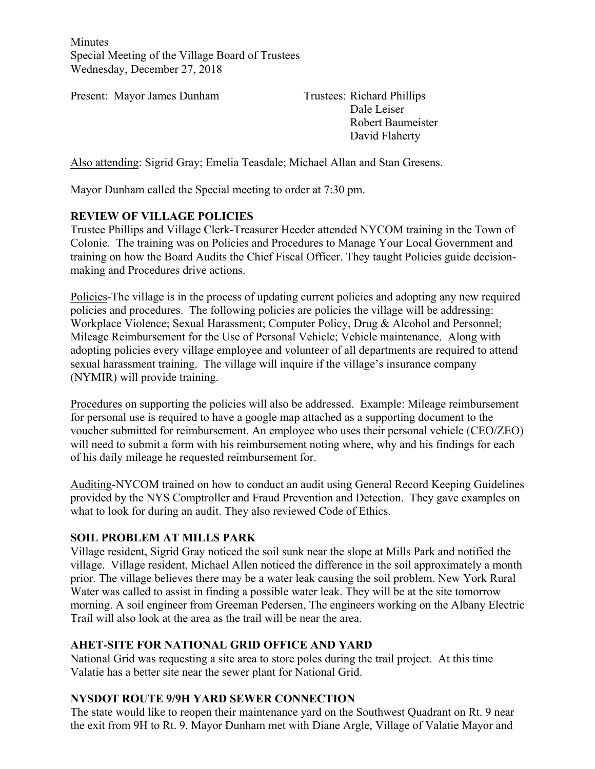**Minutes** Special Meeting of the Village Board of Trustees Wednesday, December 27, 2018

Present: Mayor James Dunham Trustees: Richard Phillips

Dale Leiser Robert Baumeister David Flaherty

Also attending: Sigrid Gray; Emelia Teasdale; Michael Allan and Stan Gresens.

Mayor Dunham called the Special meeting to order at 7:30 pm.

### **REVIEW OF VILLAGE POLICIES**

Trustee Phillips and Village Clerk-Treasurer Heeder attended NYCOM training in the Town of Colonie. The training was on Policies and Procedures to Manage Your Local Government and training on how the Board Audits the Chief Fiscal Officer. They taught Policies guide decisionmaking and Procedures drive actions.

Policies-The village is in the process of updating current policies and adopting any new required policies and procedures. The following policies are policies the village will be addressing: Workplace Violence; Sexual Harassment; Computer Policy, Drug & Alcohol and Personnel; Mileage Reimbursement for the Use of Personal Vehicle; Vehicle maintenance. Along with adopting policies every village employee and volunteer of all departments are required to attend sexual harassment training. The village will inquire if the village's insurance company (NYMIR) will provide training.

Procedures on supporting the policies will also be addressed. Example: Mileage reimbursement for personal use is required to have a google map attached as a supporting document to the voucher submitted for reimbursement. An employee who uses their personal vehicle (CEO/ZEO) will need to submit a form with his reimbursement noting where, why and his findings for each of his daily mileage he requested reimbursement for.

Auditing-NYCOM trained on how to conduct an audit using General Record Keeping Guidelines provided by the NYS Comptroller and Fraud Prevention and Detection. They gave examples on what to look for during an audit. They also reviewed Code of Ethics.

#### **SOIL PROBLEM AT MILLS PARK**

Village resident, Sigrid Gray noticed the soil sunk near the slope at Mills Park and notified the village. Village resident, Michael Allen noticed the difference in the soil approximately a month prior. The village believes there may be a water leak causing the soil problem. New York Rural Water was called to assist in finding a possible water leak. They will be at the site tomorrow morning. A soil engineer from Greeman Pedersen, The engineers working on the Albany Electric Trail will also look at the area as the trail will be near the area.

### **AHET-SITE FOR NATIONAL GRID OFFICE AND YARD**

National Grid was requesting a site area to store poles during the trail project. At this time Valatie has a better site near the sewer plant for National Grid.

### **NYSDOT ROUTE 9/9H YARD SEWER CONNECTION**

The state would like to reopen their maintenance yard on the Southwest Quadrant on Rt. 9 near the exit from 9H to Rt. 9. Mayor Dunham met with Diane Argle, Village of Valatie Mayor and